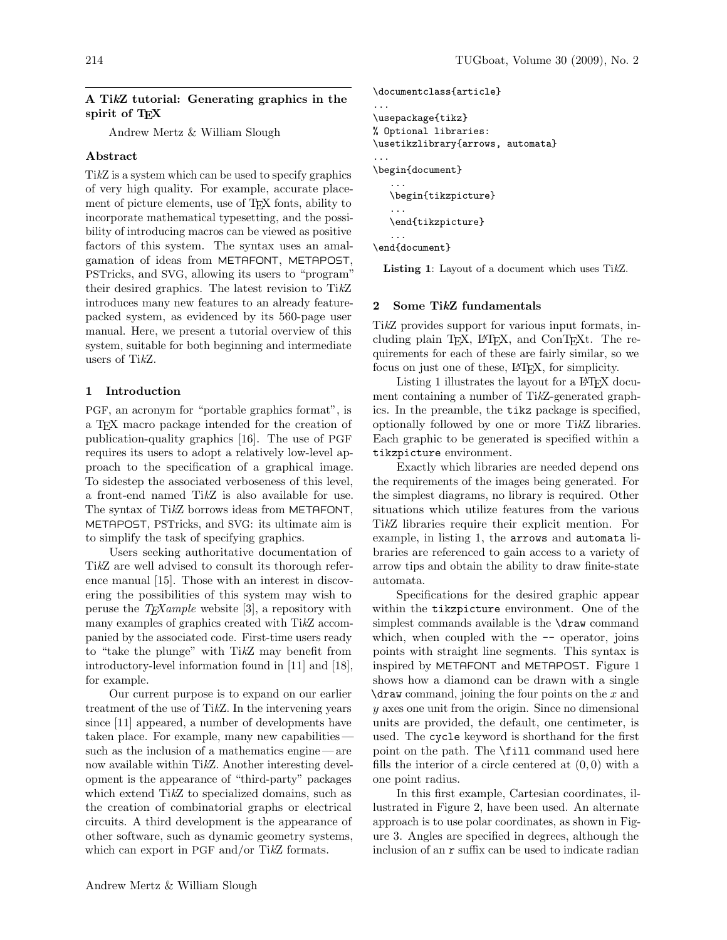### A TikZ tutorial: Generating graphics in the spirit of TEX

Andrew Mertz & William Slough

### Abstract

TikZ is a system which can be used to specify graphics of very high quality. For example, accurate placement of picture elements, use of T<sub>E</sub>X fonts, ability to incorporate mathematical typesetting, and the possibility of introducing macros can be viewed as positive factors of this system. The syntax uses an amalgamation of ideas from METAFONT, METAPOST, PSTricks, and SVG, allowing its users to "program" their desired graphics. The latest revision to TikZ introduces many new features to an already featurepacked system, as evidenced by its 560-page user manual. Here, we present a tutorial overview of this system, suitable for both beginning and intermediate users of TikZ.

### 1 Introduction

PGF, an acronym for "portable graphics format", is a TEX macro package intended for the creation of publication-quality graphics [16]. The use of PGF requires its users to adopt a relatively low-level approach to the specification of a graphical image. To sidestep the associated verboseness of this level, a front-end named TikZ is also available for use. The syntax of TikZ borrows ideas from METAFONT, METAPOST, PSTricks, and SVG: its ultimate aim is to simplify the task of specifying graphics.

Users seeking authoritative documentation of TikZ are well advised to consult its thorough reference manual [15]. Those with an interest in discovering the possibilities of this system may wish to peruse the  $T_F Xample$  website [3], a repository with many examples of graphics created with TikZ accompanied by the associated code. First-time users ready to "take the plunge" with TikZ may benefit from introductory-level information found in [11] and [18], for example.

Our current purpose is to expand on our earlier treatment of the use of TikZ. In the intervening years since [11] appeared, a number of developments have taken place. For example, many new capabilities such as the inclusion of a mathematics engine — are now available within TikZ. Another interesting development is the appearance of "third-party" packages which extend TikZ to specialized domains, such as the creation of combinatorial graphs or electrical circuits. A third development is the appearance of other software, such as dynamic geometry systems, which can export in PGF and/or TikZ formats.

```
\documentclass{article}
...
\usepackage{tikz}
% Optional libraries:
\usetikzlibrary{arrows, automata}
...
\begin{document}
   ...
   \begin{tikzpicture}
   ...
   \end{tikzpicture}
   ...
\end{document}
```
Listing 1: Layout of a document which uses TikZ.

### 2 Some TikZ fundamentals

TikZ provides support for various input formats, including plain TEX, LATEX, and ConTEXt. The requirements for each of these are fairly similar, so we focus on just one of these, L<sup>AT</sup>FX, for simplicity.

Listing 1 illustrates the layout for a L<sup>A</sup>T<sub>EX</sub> document containing a number of TikZ-generated graphics. In the preamble, the tikz package is specified, optionally followed by one or more TikZ libraries. Each graphic to be generated is specified within a tikzpicture environment.

Exactly which libraries are needed depend ons the requirements of the images being generated. For the simplest diagrams, no library is required. Other situations which utilize features from the various TikZ libraries require their explicit mention. For example, in listing 1, the arrows and automata libraries are referenced to gain access to a variety of arrow tips and obtain the ability to draw finite-state automata.

Specifications for the desired graphic appear within the tikzpicture environment. One of the simplest commands available is the **\draw** command which, when coupled with the  $-$  operator, joins points with straight line segments. This syntax is inspired by METAFONT and METAPOST. Figure 1 shows how a diamond can be drawn with a single  $\frac{1}{\text{arctan}}$  command, joining the four points on the x and y axes one unit from the origin. Since no dimensional units are provided, the default, one centimeter, is used. The cycle keyword is shorthand for the first point on the path. The \fill command used here fills the interior of a circle centered at  $(0, 0)$  with a one point radius.

In this first example, Cartesian coordinates, illustrated in Figure 2, have been used. An alternate approach is to use polar coordinates, as shown in Figure 3. Angles are specified in degrees, although the inclusion of an r suffix can be used to indicate radian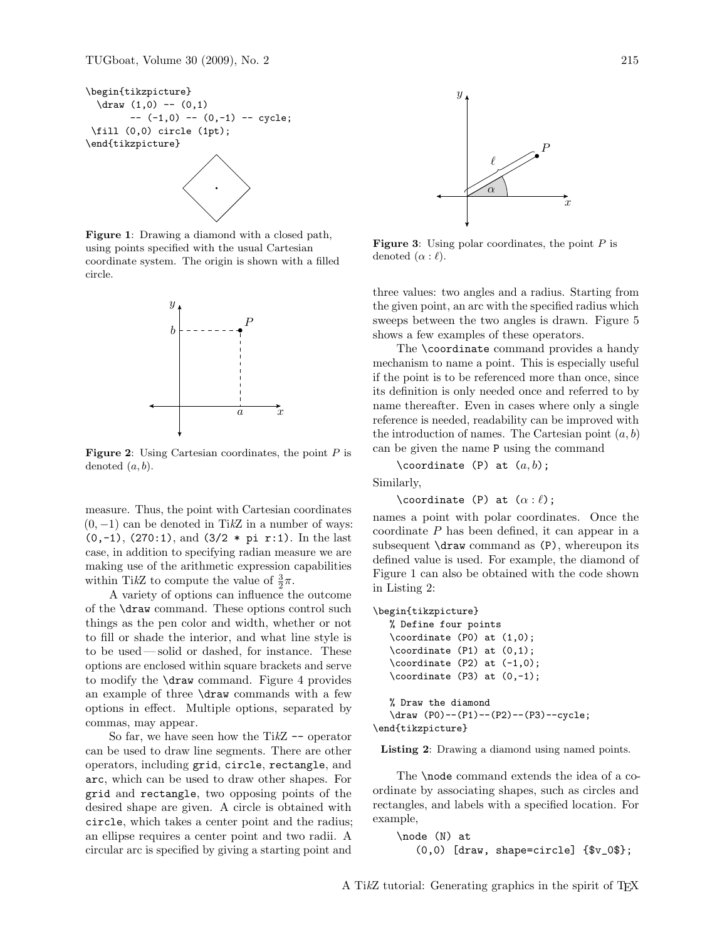```
\begin{tikzpicture}
 \draw (1,0) -- (0,1)-- (-1,0) -- (0,-1) -- cycle;\fill (0,0) circle (1pt);
\end{tikzpicture}
```
Figure 1: Drawing a diamond with a closed path, using points specified with the usual Cartesian coordinate system. The origin is shown with a filled circle.



**Figure 2:** Using Cartesian coordinates, the point  $P$  is denoted  $(a, b)$ .

measure. Thus, the point with Cartesian coordinates  $(0, -1)$  can be denoted in TikZ in a number of ways:  $(0,-1)$ ,  $(270:1)$ , and  $(3/2 * pi r:1)$ . In the last case, in addition to specifying radian measure we are making use of the arithmetic expression capabilities within TikZ to compute the value of  $\frac{3}{2}\pi$ .

A variety of options can influence the outcome of the \draw command. These options control such things as the pen color and width, whether or not to fill or shade the interior, and what line style is to be used— solid or dashed, for instance. These options are enclosed within square brackets and serve to modify the \draw command. Figure 4 provides an example of three \draw commands with a few options in effect. Multiple options, separated by commas, may appear.

So far, we have seen how the Ti $kZ$  -- operator can be used to draw line segments. There are other operators, including grid, circle, rectangle, and arc, which can be used to draw other shapes. For grid and rectangle, two opposing points of the desired shape are given. A circle is obtained with circle, which takes a center point and the radius; an ellipse requires a center point and two radii. A circular arc is specified by giving a starting point and



**Figure 3:** Using polar coordinates, the point  $P$  is denoted  $(\alpha : \ell)$ .

three values: two angles and a radius. Starting from the given point, an arc with the specified radius which sweeps between the two angles is drawn. Figure 5 shows a few examples of these operators.

The \coordinate command provides a handy mechanism to name a point. This is especially useful if the point is to be referenced more than once, since its definition is only needed once and referred to by name thereafter. Even in cases where only a single reference is needed, readability can be improved with the introduction of names. The Cartesian point  $(a, b)$ can be given the name P using the command

\coordinate (P) at  $(a, b)$ ;

Similarly,

\coordinate (P) at  $(\alpha : \ell)$ ;

names a point with polar coordinates. Once the coordinate  $P$  has been defined, it can appear in a subsequent  $\dagger$  x command as  $(P)$ , whereupon its defined value is used. For example, the diamond of Figure 1 can also be obtained with the code shown in Listing 2:

```
\begin{tikzpicture}
```

```
% Define four points
   \coordinate (P0) at (1,0);
   \coordinate (P1) at (0,1);
   \text{coordinate} (P2) at (-1,0);\text{coordinate} (P3) at (0,-1);% Draw the diamond
   \draw (P0)--(P1)--(P2)--(P3)--cycle;
\end{tikzpicture}
```
Listing 2: Drawing a diamond using named points.

The \node command extends the idea of a coordinate by associating shapes, such as circles and rectangles, and labels with a specified location. For example,

```
\node (N) at
   (0,0) [draw, shape=circle] \{\$v_0\$;
```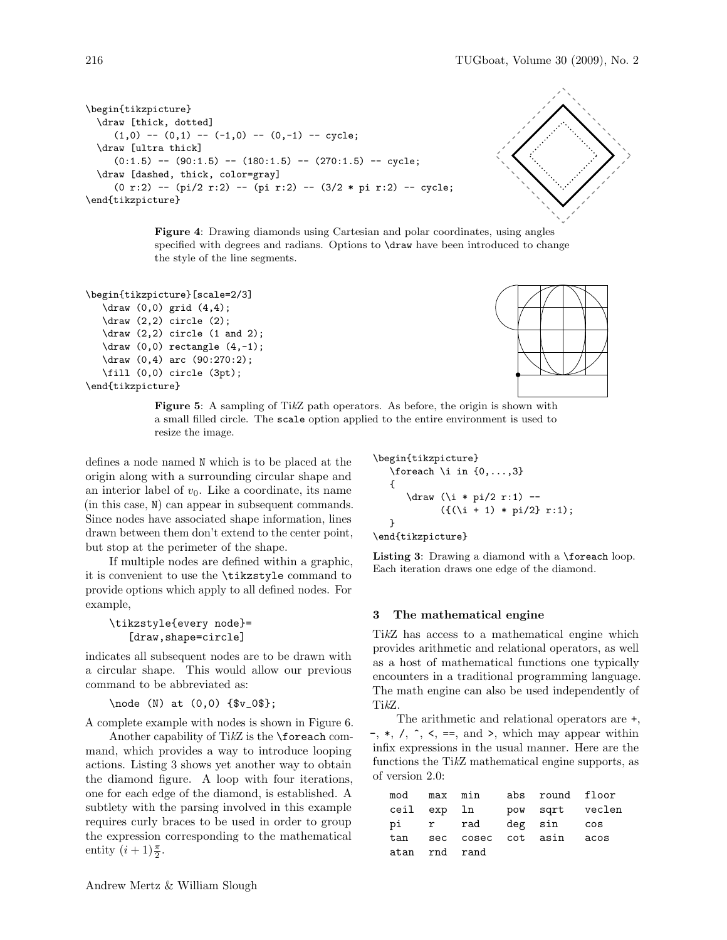```
\begin{tikzpicture}
  \draw [thick, dotted]
     (1,0) -- (0,1) -- (-1,0) -- (0,-1) -- cycle;
  \draw [ultra thick]
     (0:1.5) -- (90:1.5) -- (180:1.5) -- (270:1.5) -- cycle;
  \draw [dashed, thick, color=gray]
     (0 r:2) -- (pi/2 r:2) -- (pi r:2) -- (3/2 * pi r:2) -- cycle;
\end{tikzpicture}
```


Figure 4: Drawing diamonds using Cartesian and polar coordinates, using angles specified with degrees and radians. Options to \draw have been introduced to change the style of the line segments.

```
\begin{tikzpicture}[scale=2/3]
   \draw (0,0) grid (4,4);
  \draw (2,2) circle (2);
  \draw (2,2) circle (1 and 2);
  \draw (0,0) rectangle (4,-1);\draw (0,4) arc (90:270:2);
  \fill (0,0) circle (3pt);
\end{tikzpicture}
```


Figure 5: A sampling of TikZ path operators. As before, the origin is shown with a small filled circle. The scale option applied to the entire environment is used to resize the image.

defines a node named N which is to be placed at the origin along with a surrounding circular shape and an interior label of  $v_0$ . Like a coordinate, its name (in this case, N) can appear in subsequent commands. Since nodes have associated shape information, lines drawn between them don't extend to the center point, but stop at the perimeter of the shape.

If multiple nodes are defined within a graphic, it is convenient to use the \tikzstyle command to provide options which apply to all defined nodes. For example,

```
\tikzstyle{every node}=
   [draw, shape=circle]
```
indicates all subsequent nodes are to be drawn with a circular shape. This would allow our previous command to be abbreviated as:

\node (N) at (0,0) {\$v\_0\$};

A complete example with nodes is shown in Figure 6.

Another capability of TikZ is the \foreach command, which provides a way to introduce looping actions. Listing 3 shows yet another way to obtain the diamond figure. A loop with four iterations, one for each edge of the diamond, is established. A subtlety with the parsing involved in this example requires curly braces to be used in order to group the expression corresponding to the mathematical entity  $(i+1)\frac{\pi}{2}$ .

```
\begin{tikzpicture}
   \text{for each } i \in \{0, \ldots, 3\}{
      \draw (\iota * pi/2 r:1) --({((i + 1) * pi/2} r:1);}
\end{tikzpicture}
```
Listing 3: Drawing a diamond with a \foreach loop. Each iteration draws one edge of the diamond.

# 3 The mathematical engine

TikZ has access to a mathematical engine which provides arithmetic and relational operators, as well as a host of mathematical functions one typically encounters in a traditional programming language. The math engine can also be used independently of TikZ.

The arithmetic and relational operators are +,  $-$ ,  $\ast$ ,  $\prime$ ,  $\hat{\ }$ ,  $\leq$ ,  $\equiv$ , and  $\geq$ , which may appear within infix expressions in the usual manner. Here are the functions the TikZ mathematical engine supports, as of version 2.0:

|               |  | mod max min abs round floor |                             |
|---------------|--|-----------------------------|-----------------------------|
|               |  |                             | ceil exp ln bow sqrt veclen |
|               |  | pi r rad deg sin cos        |                             |
|               |  | tan sec cosec cot asin acos |                             |
| atan rnd rand |  |                             |                             |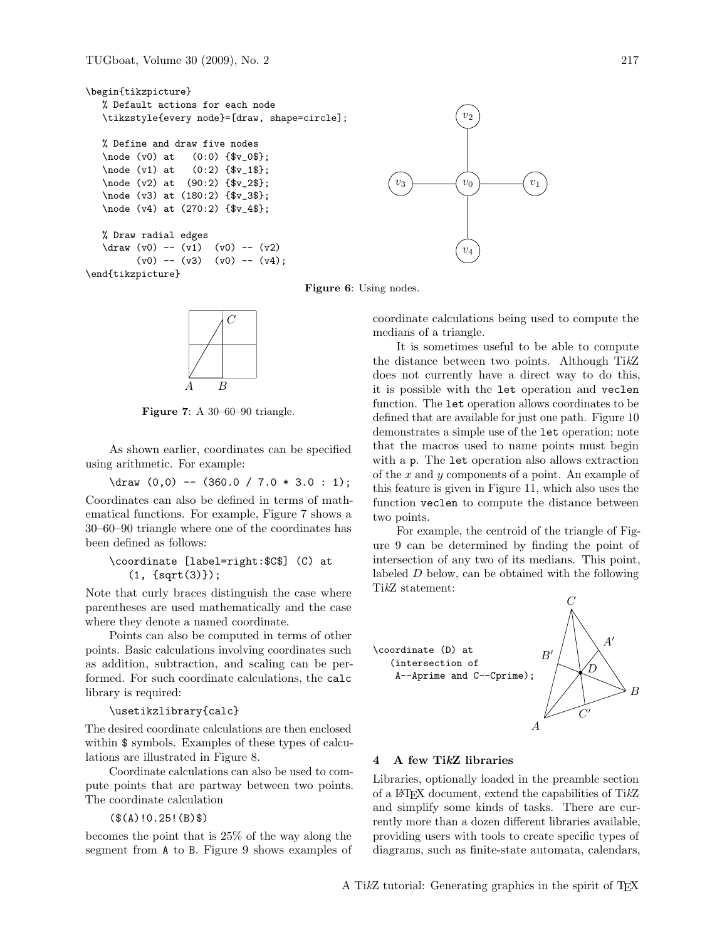```
\begin{tikzpicture}
   % Default actions for each node
   \tikzstyle{every node}=[draw, shape=circle];
   % Define and draw five nodes
   \node (v0) at (0:0) {$v_0$};
   \node (v1) at (0:2) {\$v_1$};\node (v2) at (90:2) {$v_2$};
   \node (v3) at (180:2) {$v_3$};
   \node (v4) at (270:2) {$v_4$};
   % Draw radial edges
   \frac{v0}{ - (v1) (v0) - (v2)}(v0) -- (v3) (v0) -- (v4);
\end{tikzpicture}
                                                                     v_0 \longrightarrow v_1v_2v_3v_4
```
Figure 6: Using nodes.



Figure 7: A 30–60–90 triangle.

As shown earlier, coordinates can be specified using arithmetic. For example:

 $\d$ raw (0,0) -- (360.0 / 7.0 \* 3.0 : 1); Coordinates can also be defined in terms of mathematical functions. For example, Figure 7 shows a 30–60–90 triangle where one of the coordinates has been defined as follows:

\coordinate [label=right:\$C\$] (C) at (1, {sqrt(3)});

Note that curly braces distinguish the case where parentheses are used mathematically and the case where they denote a named coordinate.

Points can also be computed in terms of other points. Basic calculations involving coordinates such as addition, subtraction, and scaling can be performed. For such coordinate calculations, the calc library is required:

#### \usetikzlibrary{calc}

The desired coordinate calculations are then enclosed within  $\frac{1}{2}$  symbols. Examples of these types of calculations are illustrated in Figure 8.

Coordinate calculations can also be used to compute points that are partway between two points. The coordinate calculation

(\$(A)!0.25!(B)\$)

becomes the point that is 25% of the way along the segment from A to B. Figure 9 shows examples of



It is sometimes useful to be able to compute the distance between two points. Although TikZ does not currently have a direct way to do this, it is possible with the let operation and veclen function. The let operation allows coordinates to be defined that are available for just one path. Figure 10 demonstrates a simple use of the let operation; note that the macros used to name points must begin with a p. The let operation also allows extraction of the  $x$  and  $y$  components of a point. An example of this feature is given in Figure 11, which also uses the function veclen to compute the distance between two points.

For example, the centroid of the triangle of Figure 9 can be determined by finding the point of intersection of any two of its medians. This point, labeled D below, can be obtained with the following TikZ statement:



### 4 A few TikZ libraries

Libraries, optionally loaded in the preamble section of a LATEX document, extend the capabilities of TikZ and simplify some kinds of tasks. There are currently more than a dozen different libraries available, providing users with tools to create specific types of diagrams, such as finite-state automata, calendars,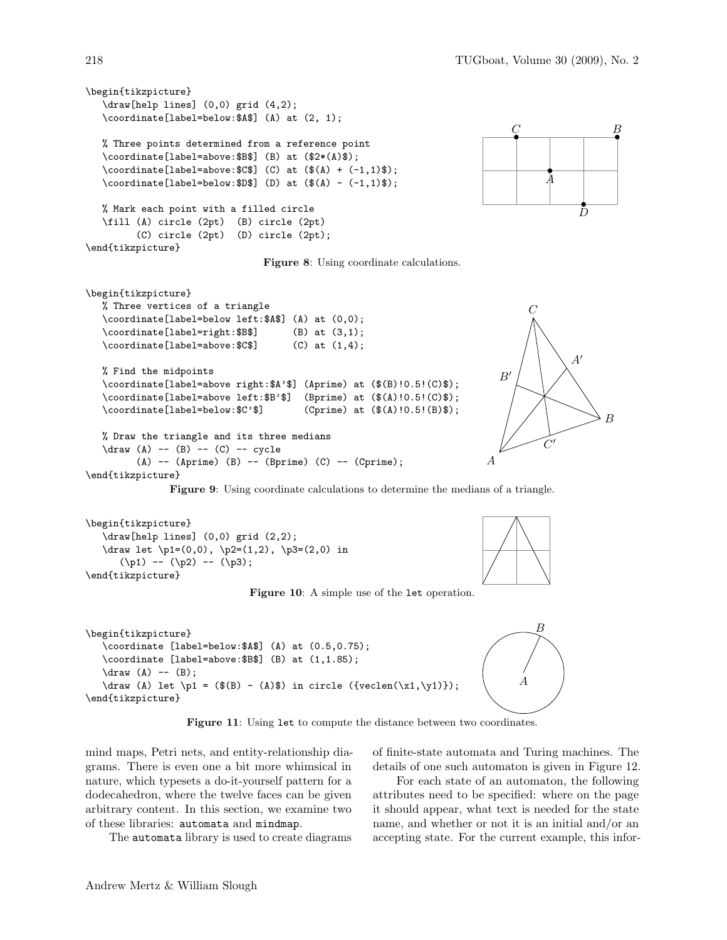```
\begin{tikzpicture}
   \draw[help lines] (0,0) grid (4,2);
   \coordinate[label=below:$A$] (A) at (2, 1);
   % Three points determined from a reference point
   \coordinate[label=above:$B$] (B) at ($2*(A)$);
   \verb+\coordinate[label=above:SC$] (C) at ($$(A) + (-1,1)$$);\verb+\coordinate[label=below:3D$] (D) at ($$(A) - (-1,1)$$);% Mark each point with a filled circle
   \fill (A) circle (2pt) (B) circle (2pt)
         (C) circle (2pt) (D) circle (2pt);
\end{tikzpicture}
```








Figure 9: Using coordinate calculations to determine the medians of a triangle.

```
\begin{tikzpicture}
   \draw[help lines] (0,0) grid (2,2);
  \draw let \pi=(0,0), \p2=(1,2), \p3=(2,0) in
      (\pp1) -- (\pp2) -- (\pp3);
\end{tikzpicture}
```
Figure 10: A simple use of the let operation.





A

Figure 11: Using let to compute the distance between two coordinates.

mind maps, Petri nets, and entity-relationship diagrams. There is even one a bit more whimsical in nature, which typesets a do-it-yourself pattern for a dodecahedron, where the twelve faces can be given arbitrary content. In this section, we examine two of these libraries: automata and mindmap.

The automata library is used to create diagrams

of finite-state automata and Turing machines. The details of one such automaton is given in Figure 12.

For each state of an automaton, the following attributes need to be specified: where on the page it should appear, what text is needed for the state name, and whether or not it is an initial and/or an accepting state. For the current example, this infor-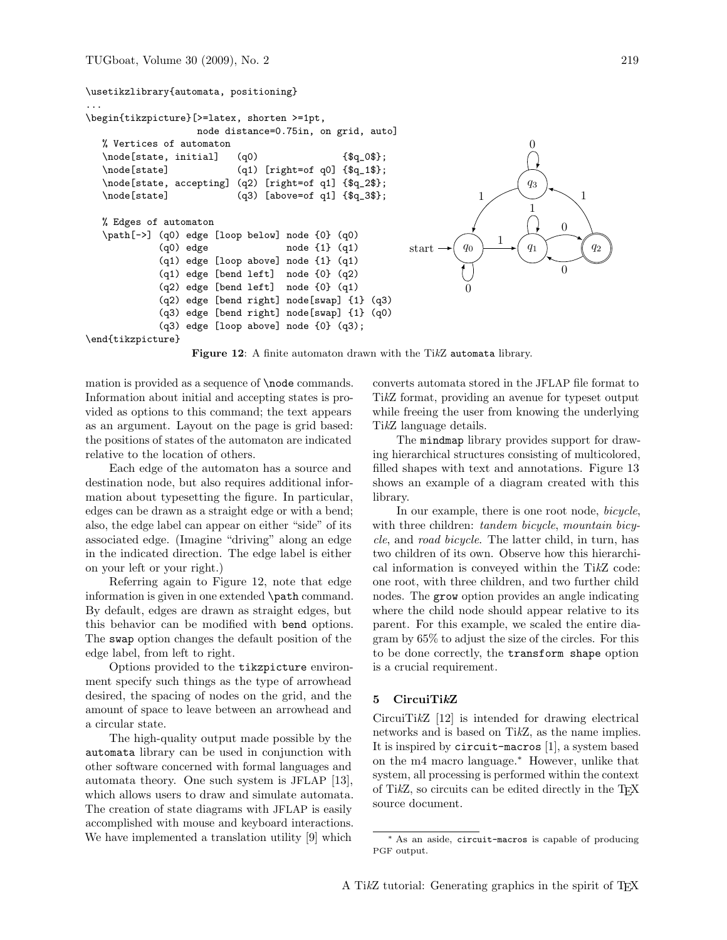#### \usetikzlibrary{automata, positioning} ... \begin{tikzpicture}[>=latex, shorten >=1pt, node distance=0.75in, on grid, auto] % Vertices of automaton  $\setminus \text{node}$ [state, initial]  $(q0)$  {\$q\_0\$}; \node[state] (q1) [right=of q0] {\$q\_1\$}; \node[state, accepting] (q2) [right=of q1] {\$q\_2\$}; \node[state] (q3) [above=of q1] {\$q\_3\$}; % Edges of automaton \path[->] (q0) edge [loop below] node {0} (q0) (q0) edge node {1} (q1) (q1) edge [loop above] node {1} (q1) (q1) edge [bend left] node {0} (q2) (q2) edge [bend left] node {0} (q1) (q2) edge [bend right] node[swap] {1} (q3) (q3) edge [bend right] node[swap] {1} (q0) (q3) edge [loop above] node {0} (q3); \end{tikzpicture} start  $\rightarrow$   $\left( q_0 \right)$   $\longrightarrow$   $\left( q_1 \right)$   $\left( q_2 \right)$  $q_3$ 0 1 1  $\theta$ 0  $1 \nearrow \cup \searrow 1$ 0

Figure 12: A finite automaton drawn with the TikZ automata library.

mation is provided as a sequence of **\node** commands. Information about initial and accepting states is provided as options to this command; the text appears as an argument. Layout on the page is grid based: the positions of states of the automaton are indicated relative to the location of others.

Each edge of the automaton has a source and destination node, but also requires additional information about typesetting the figure. In particular, edges can be drawn as a straight edge or with a bend; also, the edge label can appear on either "side" of its associated edge. (Imagine "driving" along an edge in the indicated direction. The edge label is either on your left or your right.)

Referring again to Figure 12, note that edge information is given in one extended \path command. By default, edges are drawn as straight edges, but this behavior can be modified with bend options. The swap option changes the default position of the edge label, from left to right.

Options provided to the tikzpicture environment specify such things as the type of arrowhead desired, the spacing of nodes on the grid, and the amount of space to leave between an arrowhead and a circular state.

The high-quality output made possible by the automata library can be used in conjunction with other software concerned with formal languages and automata theory. One such system is JFLAP [13], which allows users to draw and simulate automata. The creation of state diagrams with JFLAP is easily accomplished with mouse and keyboard interactions. We have implemented a translation utility [9] which

converts automata stored in the JFLAP file format to TikZ format, providing an avenue for typeset output while freeing the user from knowing the underlying TikZ language details.

The mindmap library provides support for drawing hierarchical structures consisting of multicolored, filled shapes with text and annotations. Figure 13 shows an example of a diagram created with this library.

In our example, there is one root node, bicycle, with three children: *tandem bicycle*, *mountain bicy*cle, and road bicycle. The latter child, in turn, has two children of its own. Observe how this hierarchical information is conveyed within the TikZ code: one root, with three children, and two further child nodes. The grow option provides an angle indicating where the child node should appear relative to its parent. For this example, we scaled the entire diagram by 65% to adjust the size of the circles. For this to be done correctly, the transform shape option is a crucial requirement.

### 5 CircuiTikZ

CircuiTikZ [12] is intended for drawing electrical networks and is based on TikZ, as the name implies. It is inspired by circuit-macros [1], a system based on the m4 macro language.<sup>∗</sup> However, unlike that system, all processing is performed within the context of TikZ, so circuits can be edited directly in the TFX source document.

<sup>∗</sup> As an aside, circuit-macros is capable of producing PGF output.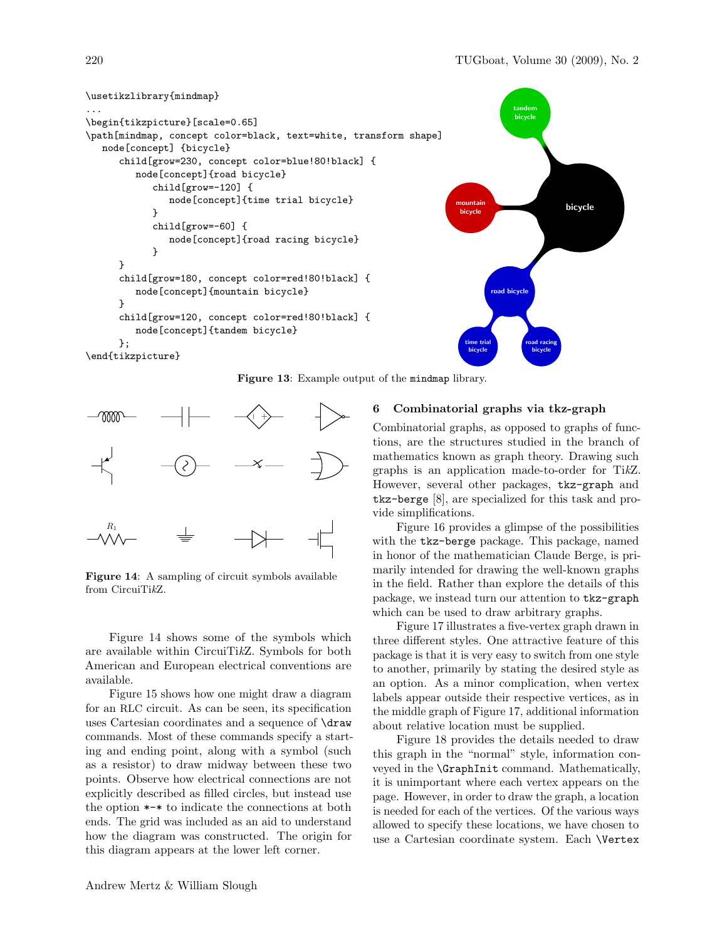

Figure 13: Example output of the mindmap library.



Figure 14: A sampling of circuit symbols available from CircuiTikZ.

Figure 14 shows some of the symbols which are available within CircuiTikZ. Symbols for both American and European electrical conventions are available.

Figure 15 shows how one might draw a diagram for an RLC circuit. As can be seen, its specification uses Cartesian coordinates and a sequence of \draw commands. Most of these commands specify a starting and ending point, along with a symbol (such as a resistor) to draw midway between these two points. Observe how electrical connections are not explicitly described as filled circles, but instead use the option \*-\* to indicate the connections at both ends. The grid was included as an aid to understand how the diagram was constructed. The origin for this diagram appears at the lower left corner.

# 6 Combinatorial graphs via tkz-graph

Combinatorial graphs, as opposed to graphs of functions, are the structures studied in the branch of mathematics known as graph theory. Drawing such graphs is an application made-to-order for TikZ. However, several other packages, tkz-graph and tkz-berge [8], are specialized for this task and provide simplifications.

Figure 16 provides a glimpse of the possibilities with the tkz-berge package. This package, named in honor of the mathematician Claude Berge, is primarily intended for drawing the well-known graphs in the field. Rather than explore the details of this package, we instead turn our attention to tkz-graph which can be used to draw arbitrary graphs.

Figure 17 illustrates a five-vertex graph drawn in three different styles. One attractive feature of this package is that it is very easy to switch from one style to another, primarily by stating the desired style as an option. As a minor complication, when vertex labels appear outside their respective vertices, as in the middle graph of Figure 17, additional information about relative location must be supplied.

Figure 18 provides the details needed to draw this graph in the "normal" style, information conveyed in the \GraphInit command. Mathematically, it is unimportant where each vertex appears on the page. However, in order to draw the graph, a location is needed for each of the vertices. Of the various ways allowed to specify these locations, we have chosen to use a Cartesian coordinate system. Each \Vertex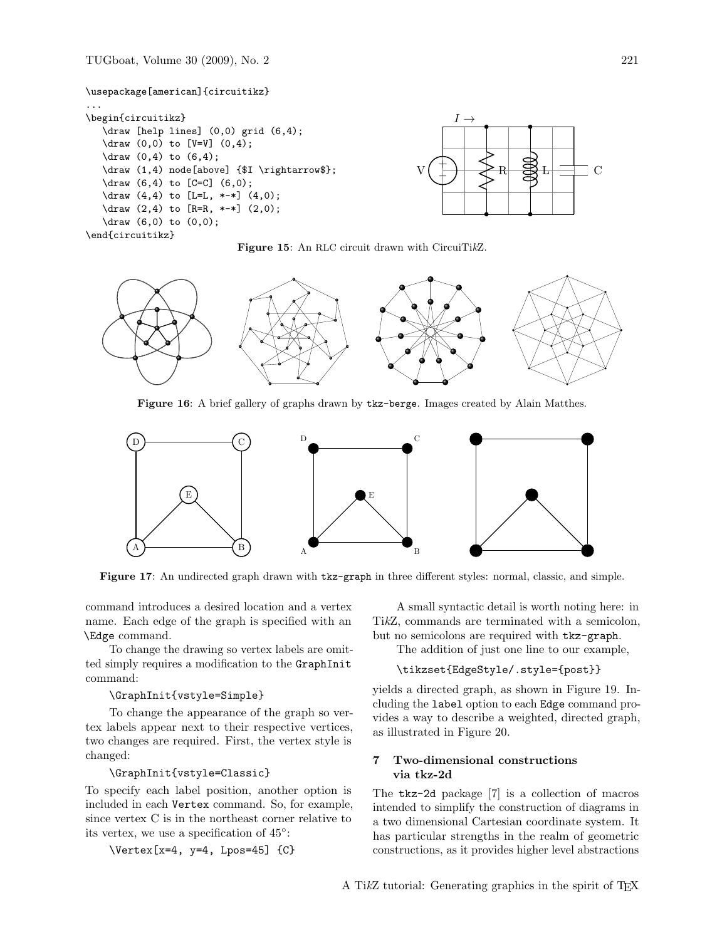TUGboat, Volume 30 (2009), No. 2 221







Figure 16: A brief gallery of graphs drawn by tkz-berge. Images created by Alain Matthes.



Figure 17: An undirected graph drawn with tkz-graph in three different styles: normal, classic, and simple.

command introduces a desired location and a vertex name. Each edge of the graph is specified with an \Edge command.

To change the drawing so vertex labels are omitted simply requires a modification to the GraphInit command:

# \GraphInit{vstyle=Simple}

To change the appearance of the graph so vertex labels appear next to their respective vertices, two changes are required. First, the vertex style is changed:

# \GraphInit{vstyle=Classic}

To specify each label position, another option is included in each Vertex command. So, for example, since vertex C is in the northeast corner relative to its vertex, we use a specification of 45◦ :

 $\text{Vertex}[x=4, y=4, Lpos=45]$  {C}

A small syntactic detail is worth noting here: in TikZ, commands are terminated with a semicolon, but no semicolons are required with tkz-graph.

The addition of just one line to our example,

#### \tikzset{EdgeStyle/.style={post}}

yields a directed graph, as shown in Figure 19. Including the label option to each Edge command provides a way to describe a weighted, directed graph, as illustrated in Figure 20.

### 7 Two-dimensional constructions via tkz-2d

The tkz-2d package [7] is a collection of macros intended to simplify the construction of diagrams in a two dimensional Cartesian coordinate system. It has particular strengths in the realm of geometric constructions, as it provides higher level abstractions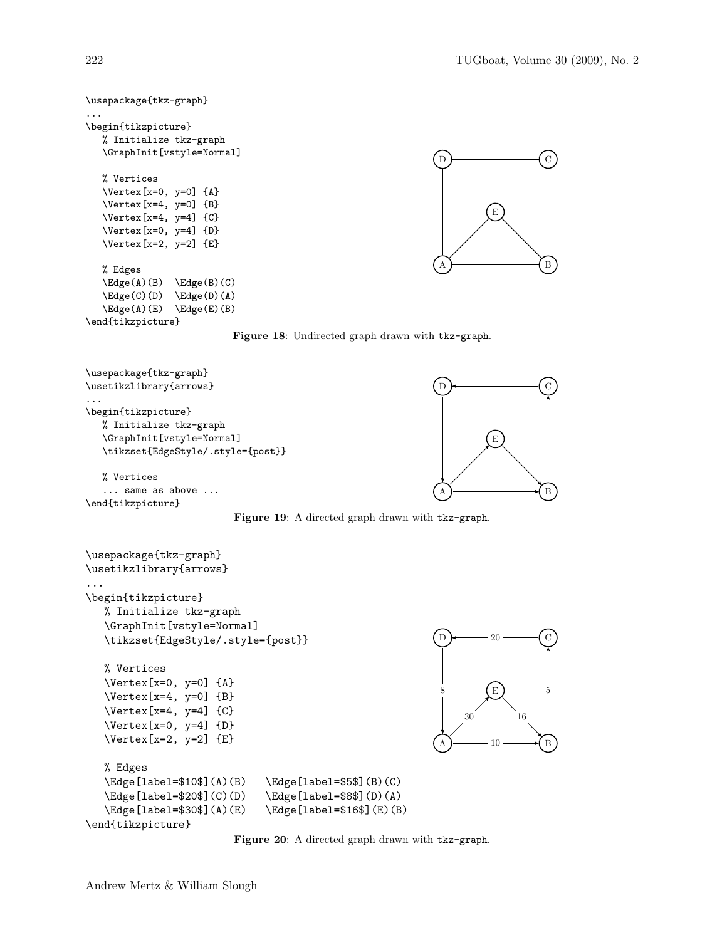```
\usepackage{tkz-graph}
...
\begin{tikzpicture}
    % Initialize tkz-graph
    \GraphInit[vstyle=Normal]
    % Vertices
    \Vertex[x=0, y=0] {A}
    \Vertex[x=4, y=0] {B}
    \text{Vertex}[x=4, y=4] {C}
    \Vertex[x=0, y=4] {D}
    \Vertex[x=2, y=2] {E}
    % Edges
    \left( A \right) (B) \left( B \right) (C)
    \left\{ \text{C}(D) \right\} \left\{ \text{D}(A) \right\}\left( A \right) \left( E \right) \left( E \right) \left( B \right)\end{tikzpicture}
                                                                                         \overline{A} \overline{B} \overline{B} \overline{B}\Gamma D \rightarrow C
                                                                                                     E
```




```
\usepackage{tkz-graph}
\usetikzlibrary{arrows}
...
\begin{tikzpicture}
   % Initialize tkz-graph
   \GraphInit[vstyle=Normal]
   \tikzset{EdgeStyle/.style={post}}
   % Vertices
   \Vertex[x=0, y=0] {A}
   \Vertex[x=4, y=0] {B}
   \Vertex[x=4, y=4] {C}
   \Vertex[x=0, y=4] {D}
   \Vertex[x=2, y=2] {E}
   % Edges
   \Edge[label=$10$](A)(B) \Edge[label=$5$](B)(C)
   \Edge[label=$20$](C)(D) \Edge[label=$8$](D)(A)
   \Edge[label=$30$](A)(E) \Edge[label=$16$](E)(B)
\end{tikzpicture}
                                                             A \rightarrow 10 \rightarrow B
                                                             D \longleftarrow 20 \longleftarrow (C
                                                                      E
                                                                      10
                                                                                5
                                                                      20
                                                              8
                                                                  30 16
```
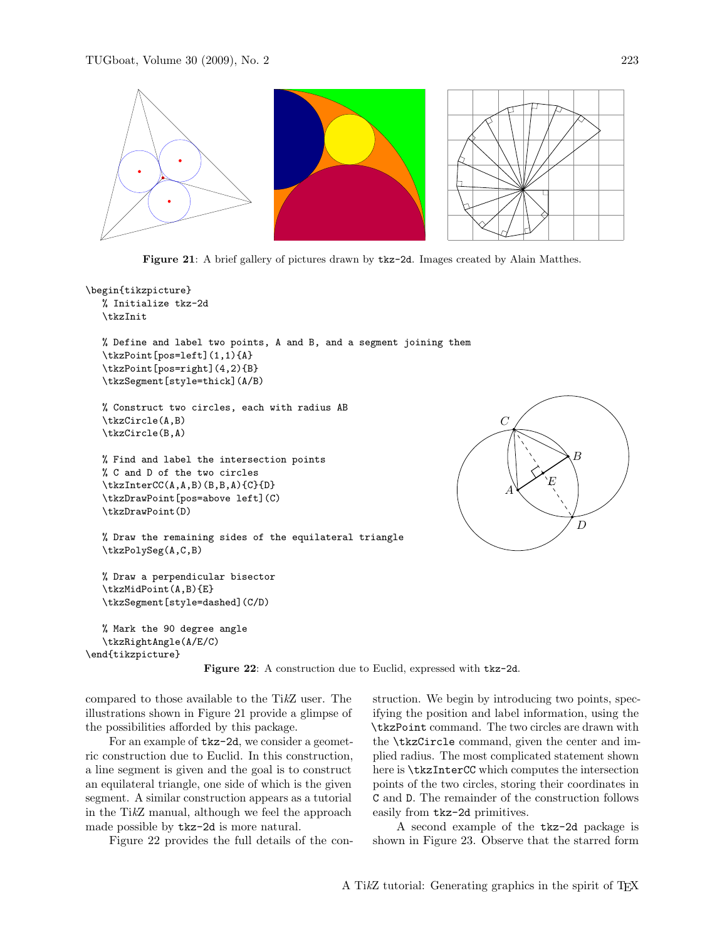

Figure 21: A brief gallery of pictures drawn by tkz-2d. Images created by Alain Matthes.

```
\begin{tikzpicture}
  % Initialize tkz-2d
   \tkzInit
   % Define and label two points, A and B, and a segment joining them
   \tkzPoint[pos=left](1,1){A}
   \tkzPoint[pos=right](4,2){B}
   \tkzSegment[style=thick](A/B)
   % Construct two circles, each with radius AB
   \tkzCircle(A,B)
   \tkzCircle(B,A)
  % Find and label the intersection points
   % C and D of the two circles
   \tkzInterCC(A,A,B)(B,B,A){C}{D}
   \tkzDrawPoint[pos=above left](C)
   \tkzDrawPoint(D)
   % Draw the remaining sides of the equilateral triangle
   \tkzPolySeg(A,C,B)
   % Draw a perpendicular bisector
   \tkzMidPoint(A,B){E}
   \tkzSegment[style=dashed](C/D)
                                                                              A
                                                                             \overline{C}
```

```
% Mark the 90 degree angle
  \tkzRightAngle(A/E/C)
\end{tikzpicture}
```


compared to those available to the TikZ user. The illustrations shown in Figure 21 provide a glimpse of the possibilities afforded by this package.

For an example of tkz-2d, we consider a geometric construction due to Euclid. In this construction, a line segment is given and the goal is to construct an equilateral triangle, one side of which is the given segment. A similar construction appears as a tutorial in the TikZ manual, although we feel the approach made possible by tkz-2d is more natural.

Figure 22 provides the full details of the con-

struction. We begin by introducing two points, specifying the position and label information, using the \tkzPoint command. The two circles are drawn with the \tkzCircle command, given the center and implied radius. The most complicated statement shown here is \tkzInterCC which computes the intersection points of the two circles, storing their coordinates in C and D. The remainder of the construction follows easily from tkz-2d primitives.

B

E

D

A second example of the tkz-2d package is shown in Figure 23. Observe that the starred form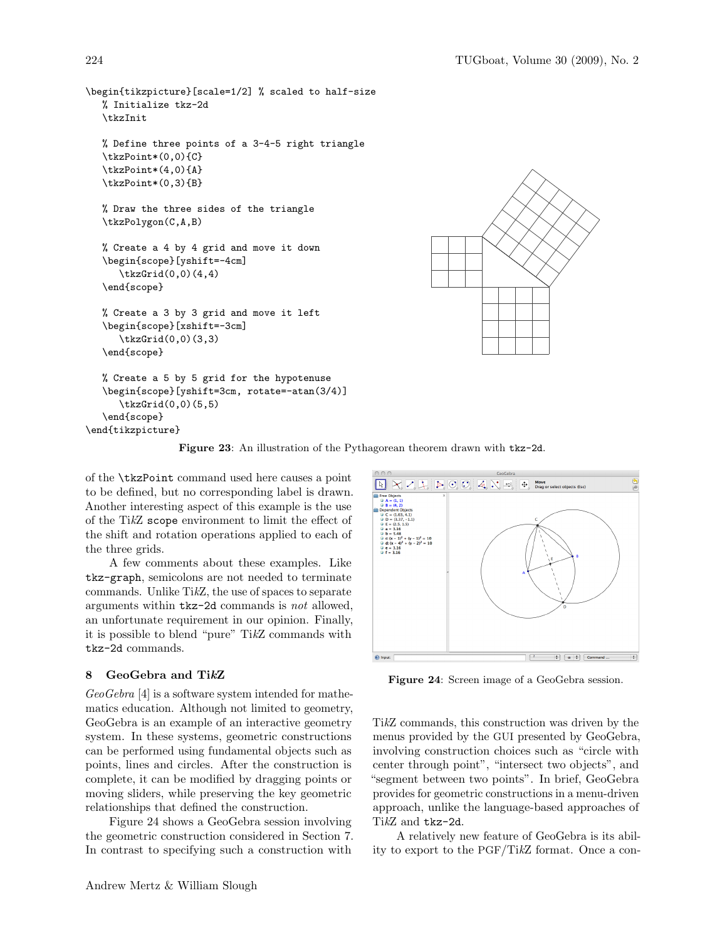```
\begin{tikzpicture}[scale=1/2] % scaled to half-size
  % Initialize tkz-2d
  \tkzInit
  % Define three points of a 3-4-5 right triangle
  \tkzPoint*(0,0){C}
  \tkzPoint*(4,0){A}
  \tkzPoint*(0,3){B}
  % Draw the three sides of the triangle
  \tkzPolygon(C,A,B)
  % Create a 4 by 4 grid and move it down
  \begin{scope}[yshift=-4cm]
      \tkzGrid(0,0)(4,4)
   \end{scope}
  % Create a 3 by 3 grid and move it left
  \begin{scope}[xshift=-3cm]
      \tkzGrid(0,0)(3,3)
  \end{scope}
  % Create a 5 by 5 grid for the hypotenuse
  \begin{scope}[yshift=3cm, rotate=-atan(3/4)]
      \tkzGrid(0,0)(5,5)
  \end{scope}
\end{tikzpicture}
```


Figure 23: An illustration of the Pythagorean theorem drawn with tkz-2d.

of the \tkzPoint command used here causes a point to be defined, but no corresponding label is drawn. Another interesting aspect of this example is the use of the TikZ scope environment to limit the effect of the shift and rotation operations applied to each of the three grids.

A few comments about these examples. Like tkz-graph, semicolons are not needed to terminate commands. Unlike TikZ, the use of spaces to separate arguments within tkz-2d commands is not allowed, an unfortunate requirement in our opinion. Finally, it is possible to blend "pure" TikZ commands with tkz-2d commands.

### 8 GeoGebra and TikZ

GeoGebra [4] is a software system intended for mathematics education. Although not limited to geometry, GeoGebra is an example of an interactive geometry system. In these systems, geometric constructions can be performed using fundamental objects such as points, lines and circles. After the construction is complete, it can be modified by dragging points or moving sliders, while preserving the key geometric relationships that defined the construction.

Figure 24 shows a GeoGebra session involving the geometric construction considered in Section 7. In contrast to specifying such a construction with



Figure 24: Screen image of a GeoGebra session.

TikZ commands, this construction was driven by the menus provided by the GUI presented by GeoGebra, involving construction choices such as "circle with center through point", "intersect two objects", and "segment between two points". In brief, GeoGebra provides for geometric constructions in a menu-driven approach, unlike the language-based approaches of TikZ and tkz-2d.

A relatively new feature of GeoGebra is its ability to export to the PGF/TikZ format. Once a con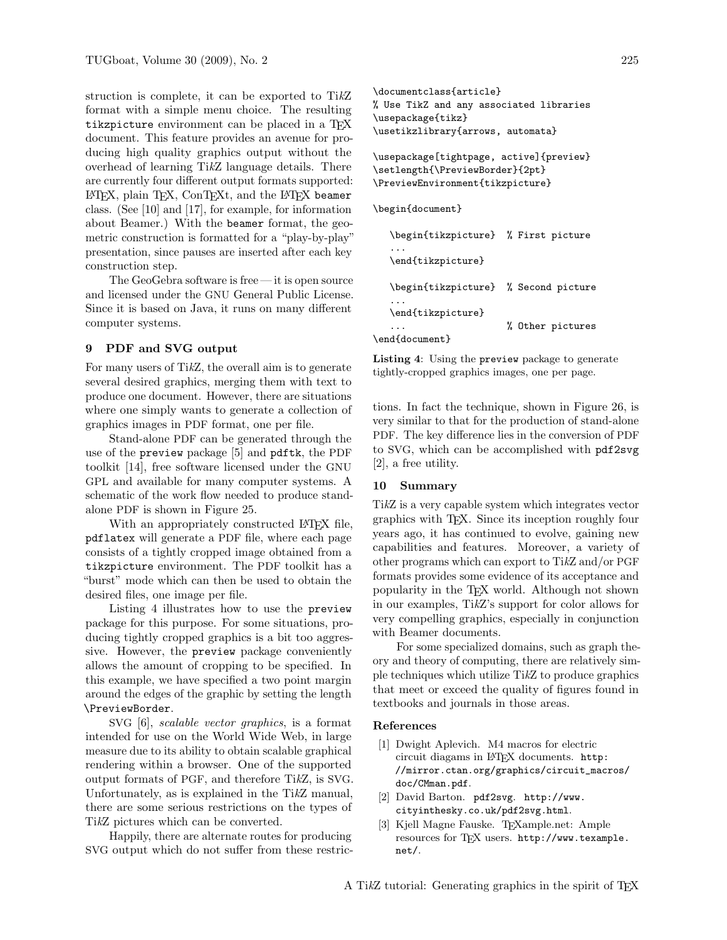struction is complete, it can be exported to TikZ format with a simple menu choice. The resulting tikzpicture environment can be placed in a TEX document. This feature provides an avenue for producing high quality graphics output without the overhead of learning TikZ language details. There are currently four different output formats supported: LATEX, plain TEX, ConTEXt, and the LATEX beamer class. (See [10] and [17], for example, for information about Beamer.) With the beamer format, the geometric construction is formatted for a "play-by-play" presentation, since pauses are inserted after each key construction step.

The GeoGebra software is free — it is open source and licensed under the GNU General Public License. Since it is based on Java, it runs on many different computer systems.

### 9 PDF and SVG output

For many users of TikZ, the overall aim is to generate several desired graphics, merging them with text to produce one document. However, there are situations where one simply wants to generate a collection of graphics images in PDF format, one per file.

Stand-alone PDF can be generated through the use of the preview package [5] and pdftk, the PDF toolkit [14], free software licensed under the GNU GPL and available for many computer systems. A schematic of the work flow needed to produce standalone PDF is shown in Figure 25.

With an appropriately constructed LATEX file, pdflatex will generate a PDF file, where each page consists of a tightly cropped image obtained from a tikzpicture environment. The PDF toolkit has a "burst" mode which can then be used to obtain the desired files, one image per file.

Listing 4 illustrates how to use the preview package for this purpose. For some situations, producing tightly cropped graphics is a bit too aggressive. However, the preview package conveniently allows the amount of cropping to be specified. In this example, we have specified a two point margin around the edges of the graphic by setting the length \PreviewBorder.

SVG [6], scalable vector graphics, is a format intended for use on the World Wide Web, in large measure due to its ability to obtain scalable graphical rendering within a browser. One of the supported output formats of PGF, and therefore TikZ, is SVG. Unfortunately, as is explained in the TikZ manual, there are some serious restrictions on the types of TikZ pictures which can be converted.

Happily, there are alternate routes for producing SVG output which do not suffer from these restric-

```
\documentclass{article}
% Use TikZ and any associated libraries
\usepackage{tikz}
\usetikzlibrary{arrows, automata}
```
\usepackage[tightpage, active]{preview} \setlength{\PreviewBorder}{2pt} \PreviewEnvironment{tikzpicture}

\begin{document}

```
\begin{tikzpicture} % First picture
  ...
  \end{tikzpicture}
  \begin{tikzpicture} % Second picture
  ...
  \end{tikzpicture}
  ... % Other pictures
\end{document}
```
Listing 4: Using the preview package to generate tightly-cropped graphics images, one per page.

tions. In fact the technique, shown in Figure 26, is very similar to that for the production of stand-alone PDF. The key difference lies in the conversion of PDF to SVG, which can be accomplished with pdf2svg [2], a free utility.

### 10 Summary

TikZ is a very capable system which integrates vector graphics with TEX. Since its inception roughly four years ago, it has continued to evolve, gaining new capabilities and features. Moreover, a variety of other programs which can export to TikZ and/or PGF formats provides some evidence of its acceptance and popularity in the TEX world. Although not shown in our examples, TikZ's support for color allows for very compelling graphics, especially in conjunction with Beamer documents.

For some specialized domains, such as graph theory and theory of computing, there are relatively simple techniques which utilize TikZ to produce graphics that meet or exceed the quality of figures found in textbooks and journals in those areas.

#### References

- [1] Dwight Aplevich. M4 macros for electric circuit diagams in LATEX documents. http: //mirror.ctan.org/graphics/circuit\_macros/ doc/CMman.pdf.
- [2] David Barton. pdf2svg. http://www. cityinthesky.co.uk/pdf2svg.html.
- [3] Kjell Magne Fauske. T<sub>F</sub>Xample.net: Ample resources for TEX users. http://www.texample. net/.